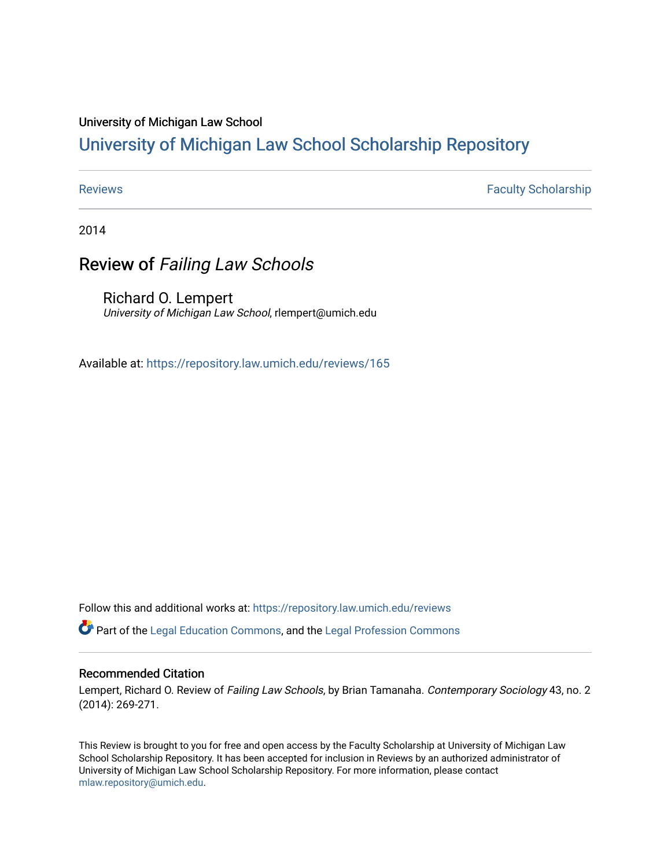## University of Michigan Law School

# [University of Michigan Law School Scholarship Repository](https://repository.law.umich.edu/)

[Reviews](https://repository.law.umich.edu/reviews) **Faculty Scholarship Faculty Scholarship Faculty Scholarship** 

2014

# Review of Failing Law Schools

Richard O. Lempert University of Michigan Law School, rlempert@umich.edu

Available at: <https://repository.law.umich.edu/reviews/165>

Follow this and additional works at: [https://repository.law.umich.edu/reviews](https://repository.law.umich.edu/reviews?utm_source=repository.law.umich.edu%2Freviews%2F165&utm_medium=PDF&utm_campaign=PDFCoverPages) 

Part of the [Legal Education Commons,](http://network.bepress.com/hgg/discipline/857?utm_source=repository.law.umich.edu%2Freviews%2F165&utm_medium=PDF&utm_campaign=PDFCoverPages) and the [Legal Profession Commons](http://network.bepress.com/hgg/discipline/1075?utm_source=repository.law.umich.edu%2Freviews%2F165&utm_medium=PDF&utm_campaign=PDFCoverPages) 

### Recommended Citation

Lempert, Richard O. Review of Failing Law Schools, by Brian Tamanaha. Contemporary Sociology 43, no. 2 (2014): 269-271.

This Review is brought to you for free and open access by the Faculty Scholarship at University of Michigan Law School Scholarship Repository. It has been accepted for inclusion in Reviews by an authorized administrator of University of Michigan Law School Scholarship Repository. For more information, please contact [mlaw.repository@umich.edu.](mailto:mlaw.repository@umich.edu)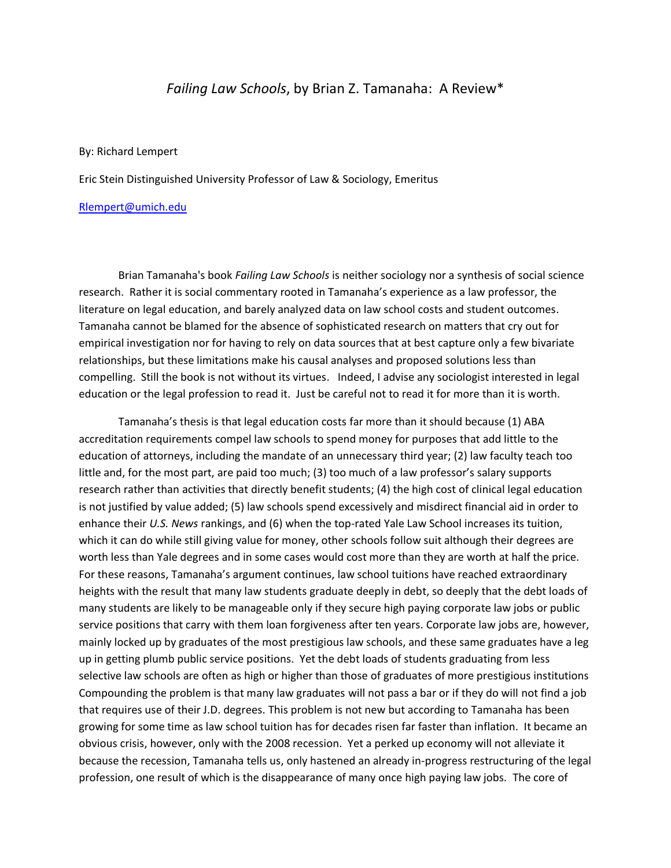## *Failing Law Schools*, by Brian Z. Tamanaha: A Review\*

By: Richard Lempert

Eric Stein Distinguished University Professor of Law & Sociology, Emeritus

#### [Rlempert@umich.edu](mailto:Rlempert@umich.edu)

Brian Tamanaha's book *Failing Law Schools* is neither sociology nor a synthesis of social science research. Rather it is social commentary rooted in Tamanaha's experience as a law professor, the literature on legal education, and barely analyzed data on law school costs and student outcomes. Tamanaha cannot be blamed for the absence of sophisticated research on matters that cry out for empirical investigation nor for having to rely on data sources that at best capture only a few bivariate relationships, but these limitations make his causal analyses and proposed solutions less than compelling. Still the book is not without its virtues. Indeed, I advise any sociologist interested in legal education or the legal profession to read it. Just be careful not to read it for more than it is worth.

Tamanaha's thesis is that legal education costs far more than it should because (1) ABA accreditation requirements compel law schools to spend money for purposes that add little to the education of attorneys, including the mandate of an unnecessary third year; (2) law faculty teach too little and, for the most part, are paid too much; (3) too much of a law professor's salary supports research rather than activities that directly benefit students; (4) the high cost of clinical legal education is not justified by value added; (5) law schools spend excessively and misdirect financial aid in order to enhance their *U.S. News* rankings, and (6) when the top-rated Yale Law School increases its tuition, which it can do while still giving value for money, other schools follow suit although their degrees are worth less than Yale degrees and in some cases would cost more than they are worth at half the price. For these reasons, Tamanaha's argument continues, law school tuitions have reached extraordinary heights with the result that many law students graduate deeply in debt, so deeply that the debt loads of many students are likely to be manageable only if they secure high paying corporate law jobs or public service positions that carry with them loan forgiveness after ten years. Corporate law jobs are, however, mainly locked up by graduates of the most prestigious law schools, and these same graduates have a leg up in getting plumb public service positions. Yet the debt loads of students graduating from less selective law schools are often as high or higher than those of graduates of more prestigious institutions Compounding the problem is that many law graduates will not pass a bar or if they do will not find a job that requires use of their J.D. degrees. This problem is not new but according to Tamanaha has been growing for some time as law school tuition has for decades risen far faster than inflation. It became an obvious crisis, however, only with the 2008 recession. Yet a perked up economy will not alleviate it because the recession, Tamanaha tells us, only hastened an already in-progress restructuring of the legal profession, one result of which is the disappearance of many once high paying law jobs. The core of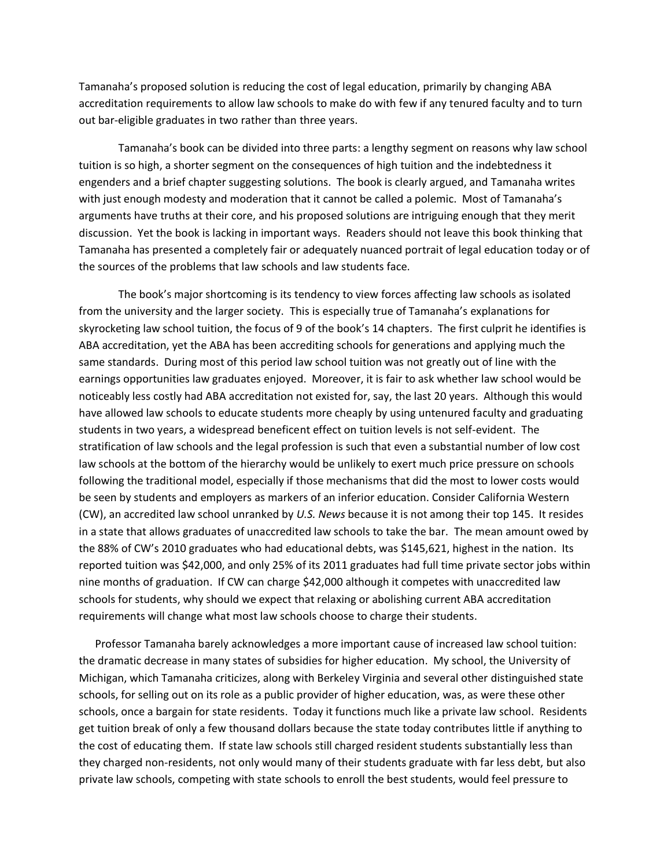Tamanaha's proposed solution is reducing the cost of legal education, primarily by changing ABA accreditation requirements to allow law schools to make do with few if any tenured faculty and to turn out bar-eligible graduates in two rather than three years.

Tamanaha's book can be divided into three parts: a lengthy segment on reasons why law school tuition is so high, a shorter segment on the consequences of high tuition and the indebtedness it engenders and a brief chapter suggesting solutions. The book is clearly argued, and Tamanaha writes with just enough modesty and moderation that it cannot be called a polemic. Most of Tamanaha's arguments have truths at their core, and his proposed solutions are intriguing enough that they merit discussion. Yet the book is lacking in important ways. Readers should not leave this book thinking that Tamanaha has presented a completely fair or adequately nuanced portrait of legal education today or of the sources of the problems that law schools and law students face.

The book's major shortcoming is its tendency to view forces affecting law schools as isolated from the university and the larger society. This is especially true of Tamanaha's explanations for skyrocketing law school tuition, the focus of 9 of the book's 14 chapters. The first culprit he identifies is ABA accreditation, yet the ABA has been accrediting schools for generations and applying much the same standards. During most of this period law school tuition was not greatly out of line with the earnings opportunities law graduates enjoyed. Moreover, it is fair to ask whether law school would be noticeably less costly had ABA accreditation not existed for, say, the last 20 years. Although this would have allowed law schools to educate students more cheaply by using untenured faculty and graduating students in two years, a widespread beneficent effect on tuition levels is not self-evident. The stratification of law schools and the legal profession is such that even a substantial number of low cost law schools at the bottom of the hierarchy would be unlikely to exert much price pressure on schools following the traditional model, especially if those mechanisms that did the most to lower costs would be seen by students and employers as markers of an inferior education. Consider California Western (CW), an accredited law school unranked by *U.S. News* because it is not among their top 145. It resides in a state that allows graduates of unaccredited law schools to take the bar. The mean amount owed by the 88% of CW's 2010 graduates who had educational debts, was \$145,621, highest in the nation. Its reported tuition was \$42,000, and only 25% of its 2011 graduates had full time private sector jobs within nine months of graduation. If CW can charge \$42,000 although it competes with unaccredited law schools for students, why should we expect that relaxing or abolishing current ABA accreditation requirements will change what most law schools choose to charge their students.

 Professor Tamanaha barely acknowledges a more important cause of increased law school tuition: the dramatic decrease in many states of subsidies for higher education. My school, the University of Michigan, which Tamanaha criticizes, along with Berkeley Virginia and several other distinguished state schools, for selling out on its role as a public provider of higher education, was, as were these other schools, once a bargain for state residents. Today it functions much like a private law school. Residents get tuition break of only a few thousand dollars because the state today contributes little if anything to the cost of educating them. If state law schools still charged resident students substantially less than they charged non-residents, not only would many of their students graduate with far less debt, but also private law schools, competing with state schools to enroll the best students, would feel pressure to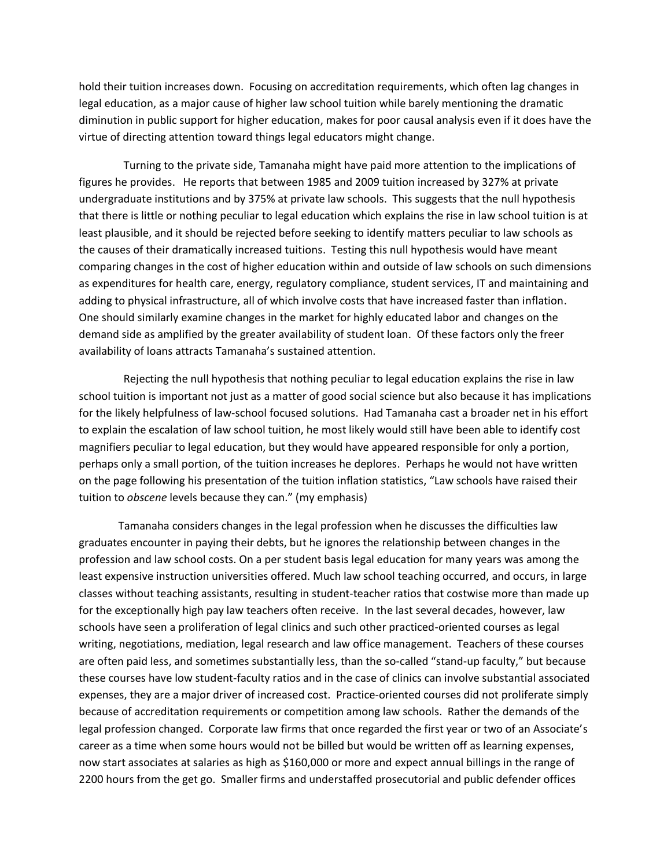hold their tuition increases down. Focusing on accreditation requirements, which often lag changes in legal education, as a major cause of higher law school tuition while barely mentioning the dramatic diminution in public support for higher education, makes for poor causal analysis even if it does have the virtue of directing attention toward things legal educators might change.

 Turning to the private side, Tamanaha might have paid more attention to the implications of figures he provides. He reports that between 1985 and 2009 tuition increased by 327% at private undergraduate institutions and by 375% at private law schools. This suggests that the null hypothesis that there is little or nothing peculiar to legal education which explains the rise in law school tuition is at least plausible, and it should be rejected before seeking to identify matters peculiar to law schools as the causes of their dramatically increased tuitions. Testing this null hypothesis would have meant comparing changes in the cost of higher education within and outside of law schools on such dimensions as expenditures for health care, energy, regulatory compliance, student services, IT and maintaining and adding to physical infrastructure, all of which involve costs that have increased faster than inflation. One should similarly examine changes in the market for highly educated labor and changes on the demand side as amplified by the greater availability of student loan. Of these factors only the freer availability of loans attracts Tamanaha's sustained attention.

 Rejecting the null hypothesis that nothing peculiar to legal education explains the rise in law school tuition is important not just as a matter of good social science but also because it has implications for the likely helpfulness of law-school focused solutions. Had Tamanaha cast a broader net in his effort to explain the escalation of law school tuition, he most likely would still have been able to identify cost magnifiers peculiar to legal education, but they would have appeared responsible for only a portion, perhaps only a small portion, of the tuition increases he deplores. Perhaps he would not have written on the page following his presentation of the tuition inflation statistics, "Law schools have raised their tuition to *obscene* levels because they can." (my emphasis)

Tamanaha considers changes in the legal profession when he discusses the difficulties law graduates encounter in paying their debts, but he ignores the relationship between changes in the profession and law school costs. On a per student basis legal education for many years was among the least expensive instruction universities offered. Much law school teaching occurred, and occurs, in large classes without teaching assistants, resulting in student-teacher ratios that costwise more than made up for the exceptionally high pay law teachers often receive. In the last several decades, however, law schools have seen a proliferation of legal clinics and such other practiced-oriented courses as legal writing, negotiations, mediation, legal research and law office management. Teachers of these courses are often paid less, and sometimes substantially less, than the so-called "stand-up faculty," but because these courses have low student-faculty ratios and in the case of clinics can involve substantial associated expenses, they are a major driver of increased cost. Practice-oriented courses did not proliferate simply because of accreditation requirements or competition among law schools. Rather the demands of the legal profession changed. Corporate law firms that once regarded the first year or two of an Associate's career as a time when some hours would not be billed but would be written off as learning expenses, now start associates at salaries as high as \$160,000 or more and expect annual billings in the range of 2200 hours from the get go. Smaller firms and understaffed prosecutorial and public defender offices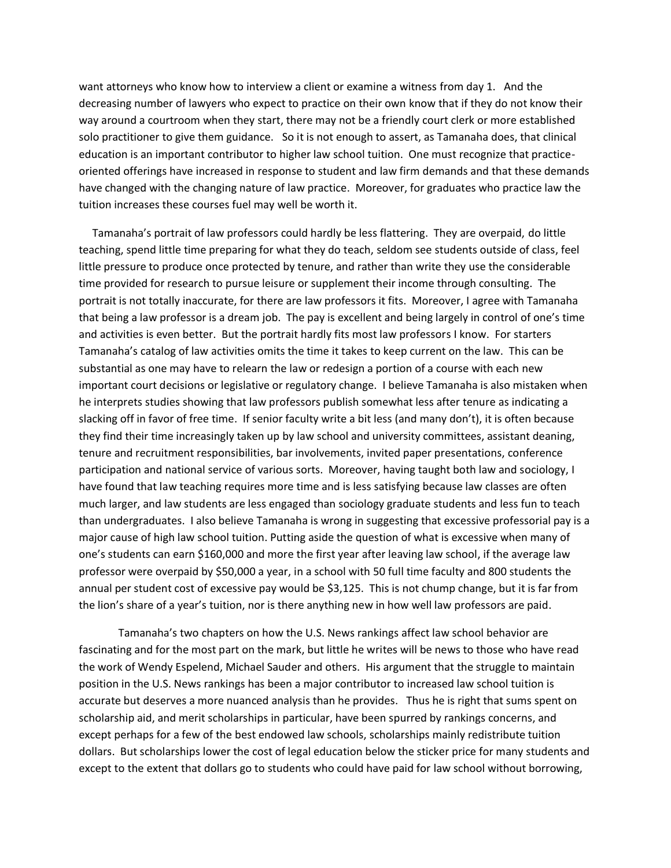want attorneys who know how to interview a client or examine a witness from day 1. And the decreasing number of lawyers who expect to practice on their own know that if they do not know their way around a courtroom when they start, there may not be a friendly court clerk or more established solo practitioner to give them guidance. So it is not enough to assert, as Tamanaha does, that clinical education is an important contributor to higher law school tuition. One must recognize that practiceoriented offerings have increased in response to student and law firm demands and that these demands have changed with the changing nature of law practice. Moreover, for graduates who practice law the tuition increases these courses fuel may well be worth it.

 Tamanaha's portrait of law professors could hardly be less flattering. They are overpaid, do little teaching, spend little time preparing for what they do teach, seldom see students outside of class, feel little pressure to produce once protected by tenure, and rather than write they use the considerable time provided for research to pursue leisure or supplement their income through consulting. The portrait is not totally inaccurate, for there are law professors it fits. Moreover, I agree with Tamanaha that being a law professor is a dream job. The pay is excellent and being largely in control of one's time and activities is even better. But the portrait hardly fits most law professors I know. For starters Tamanaha's catalog of law activities omits the time it takes to keep current on the law. This can be substantial as one may have to relearn the law or redesign a portion of a course with each new important court decisions or legislative or regulatory change. I believe Tamanaha is also mistaken when he interprets studies showing that law professors publish somewhat less after tenure as indicating a slacking off in favor of free time. If senior faculty write a bit less (and many don't), it is often because they find their time increasingly taken up by law school and university committees, assistant deaning, tenure and recruitment responsibilities, bar involvements, invited paper presentations, conference participation and national service of various sorts. Moreover, having taught both law and sociology, I have found that law teaching requires more time and is less satisfying because law classes are often much larger, and law students are less engaged than sociology graduate students and less fun to teach than undergraduates. I also believe Tamanaha is wrong in suggesting that excessive professorial pay is a major cause of high law school tuition. Putting aside the question of what is excessive when many of one's students can earn \$160,000 and more the first year after leaving law school, if the average law professor were overpaid by \$50,000 a year, in a school with 50 full time faculty and 800 students the annual per student cost of excessive pay would be \$3,125. This is not chump change, but it is far from the lion's share of a year's tuition, nor is there anything new in how well law professors are paid.

Tamanaha's two chapters on how the U.S. News rankings affect law school behavior are fascinating and for the most part on the mark, but little he writes will be news to those who have read the work of Wendy Espelend, Michael Sauder and others. His argument that the struggle to maintain position in the U.S. News rankings has been a major contributor to increased law school tuition is accurate but deserves a more nuanced analysis than he provides. Thus he is right that sums spent on scholarship aid, and merit scholarships in particular, have been spurred by rankings concerns, and except perhaps for a few of the best endowed law schools, scholarships mainly redistribute tuition dollars. But scholarships lower the cost of legal education below the sticker price for many students and except to the extent that dollars go to students who could have paid for law school without borrowing,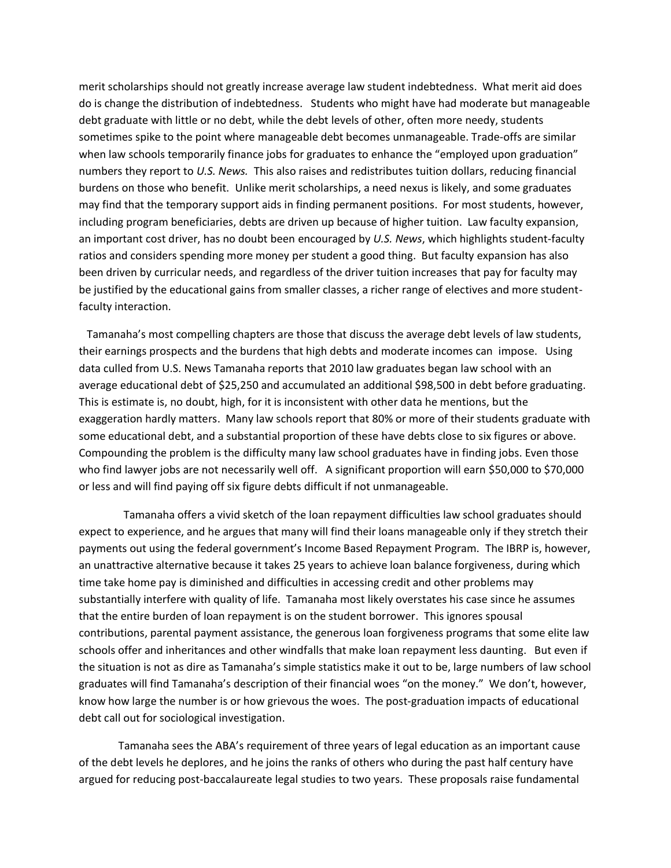merit scholarships should not greatly increase average law student indebtedness. What merit aid does do is change the distribution of indebtedness. Students who might have had moderate but manageable debt graduate with little or no debt, while the debt levels of other, often more needy, students sometimes spike to the point where manageable debt becomes unmanageable. Trade-offs are similar when law schools temporarily finance jobs for graduates to enhance the "employed upon graduation" numbers they report to *U.S. News.* This also raises and redistributes tuition dollars, reducing financial burdens on those who benefit. Unlike merit scholarships, a need nexus is likely, and some graduates may find that the temporary support aids in finding permanent positions. For most students, however, including program beneficiaries, debts are driven up because of higher tuition. Law faculty expansion, an important cost driver, has no doubt been encouraged by *U.S. News*, which highlights student-faculty ratios and considers spending more money per student a good thing. But faculty expansion has also been driven by curricular needs, and regardless of the driver tuition increases that pay for faculty may be justified by the educational gains from smaller classes, a richer range of electives and more studentfaculty interaction.

 Tamanaha's most compelling chapters are those that discuss the average debt levels of law students, their earnings prospects and the burdens that high debts and moderate incomes can impose. Using data culled from U.S. News Tamanaha reports that 2010 law graduates began law school with an average educational debt of \$25,250 and accumulated an additional \$98,500 in debt before graduating. This is estimate is, no doubt, high, for it is inconsistent with other data he mentions, but the exaggeration hardly matters. Many law schools report that 80% or more of their students graduate with some educational debt, and a substantial proportion of these have debts close to six figures or above. Compounding the problem is the difficulty many law school graduates have in finding jobs. Even those who find lawyer jobs are not necessarily well off. A significant proportion will earn \$50,000 to \$70,000 or less and will find paying off six figure debts difficult if not unmanageable.

 Tamanaha offers a vivid sketch of the loan repayment difficulties law school graduates should expect to experience, and he argues that many will find their loans manageable only if they stretch their payments out using the federal government's Income Based Repayment Program. The IBRP is, however, an unattractive alternative because it takes 25 years to achieve loan balance forgiveness, during which time take home pay is diminished and difficulties in accessing credit and other problems may substantially interfere with quality of life. Tamanaha most likely overstates his case since he assumes that the entire burden of loan repayment is on the student borrower. This ignores spousal contributions, parental payment assistance, the generous loan forgiveness programs that some elite law schools offer and inheritances and other windfalls that make loan repayment less daunting. But even if the situation is not as dire as Tamanaha's simple statistics make it out to be, large numbers of law school graduates will find Tamanaha's description of their financial woes "on the money." We don't, however, know how large the number is or how grievous the woes. The post-graduation impacts of educational debt call out for sociological investigation.

Tamanaha sees the ABA's requirement of three years of legal education as an important cause of the debt levels he deplores, and he joins the ranks of others who during the past half century have argued for reducing post-baccalaureate legal studies to two years. These proposals raise fundamental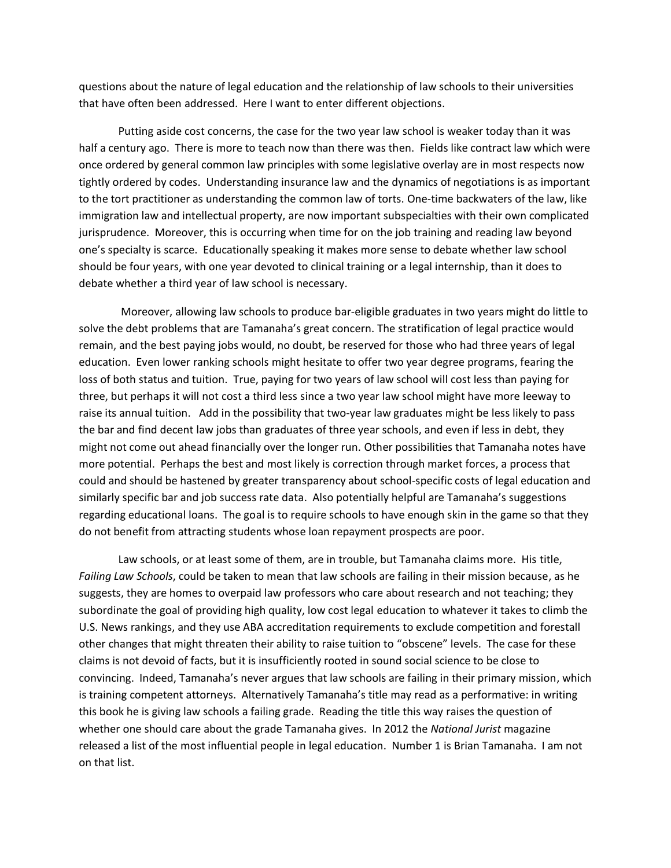questions about the nature of legal education and the relationship of law schools to their universities that have often been addressed. Here I want to enter different objections.

Putting aside cost concerns, the case for the two year law school is weaker today than it was half a century ago. There is more to teach now than there was then. Fields like contract law which were once ordered by general common law principles with some legislative overlay are in most respects now tightly ordered by codes. Understanding insurance law and the dynamics of negotiations is as important to the tort practitioner as understanding the common law of torts. One-time backwaters of the law, like immigration law and intellectual property, are now important subspecialties with their own complicated jurisprudence. Moreover, this is occurring when time for on the job training and reading law beyond one's specialty is scarce. Educationally speaking it makes more sense to debate whether law school should be four years, with one year devoted to clinical training or a legal internship, than it does to debate whether a third year of law school is necessary.

Moreover, allowing law schools to produce bar-eligible graduates in two years might do little to solve the debt problems that are Tamanaha's great concern. The stratification of legal practice would remain, and the best paying jobs would, no doubt, be reserved for those who had three years of legal education. Even lower ranking schools might hesitate to offer two year degree programs, fearing the loss of both status and tuition. True, paying for two years of law school will cost less than paying for three, but perhaps it will not cost a third less since a two year law school might have more leeway to raise its annual tuition. Add in the possibility that two-year law graduates might be less likely to pass the bar and find decent law jobs than graduates of three year schools, and even if less in debt, they might not come out ahead financially over the longer run. Other possibilities that Tamanaha notes have more potential. Perhaps the best and most likely is correction through market forces, a process that could and should be hastened by greater transparency about school-specific costs of legal education and similarly specific bar and job success rate data. Also potentially helpful are Tamanaha's suggestions regarding educational loans. The goal is to require schools to have enough skin in the game so that they do not benefit from attracting students whose loan repayment prospects are poor.

Law schools, or at least some of them, are in trouble, but Tamanaha claims more. His title, *Failing Law Schools*, could be taken to mean that law schools are failing in their mission because, as he suggests, they are homes to overpaid law professors who care about research and not teaching; they subordinate the goal of providing high quality, low cost legal education to whatever it takes to climb the U.S. News rankings, and they use ABA accreditation requirements to exclude competition and forestall other changes that might threaten their ability to raise tuition to "obscene" levels. The case for these claims is not devoid of facts, but it is insufficiently rooted in sound social science to be close to convincing. Indeed, Tamanaha's never argues that law schools are failing in their primary mission, which is training competent attorneys. Alternatively Tamanaha's title may read as a performative: in writing this book he is giving law schools a failing grade. Reading the title this way raises the question of whether one should care about the grade Tamanaha gives. In 2012 the *National Jurist* magazine released a list of the most influential people in legal education. Number 1 is Brian Tamanaha. I am not on that list.